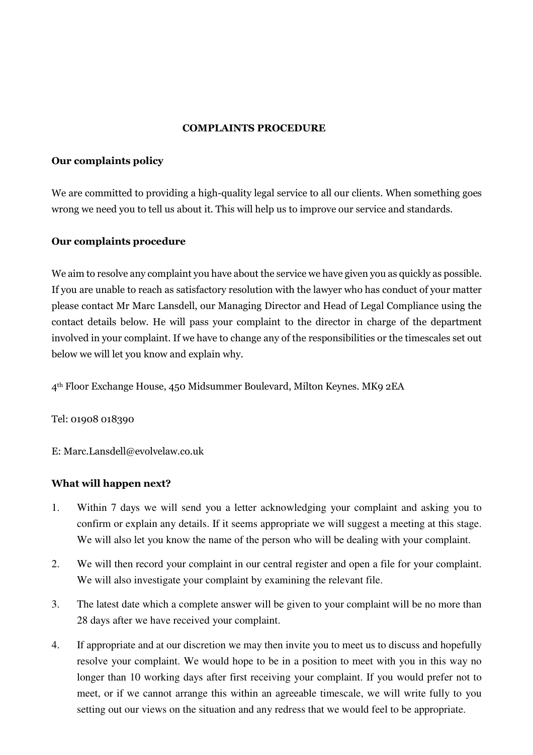### COMPLAINTS PROCEDURE

## Our complaints policy

We are committed to providing a high-quality legal service to all our clients. When something goes wrong we need you to tell us about it. This will help us to improve our service and standards.

# Our complaints procedure

We aim to resolve any complaint you have about the service we have given you as quickly as possible. If you are unable to reach as satisfactory resolution with the lawyer who has conduct of your matter please contact Mr Marc Lansdell, our Managing Director and Head of Legal Compliance using the contact details below. He will pass your complaint to the director in charge of the department involved in your complaint. If we have to change any of the responsibilities or the timescales set out below we will let you know and explain why.

4th Floor Exchange House, 450 Midsummer Boulevard, Milton Keynes. MK9 2EA

### Tel: 01908 018390

E: Marc.Lansdell@evolvelaw.co.uk

### What will happen next?

- 1. Within 7 days we will send you a letter acknowledging your complaint and asking you to confirm or explain any details. If it seems appropriate we will suggest a meeting at this stage. We will also let you know the name of the person who will be dealing with your complaint.
- 2. We will then record your complaint in our central register and open a file for your complaint. We will also investigate your complaint by examining the relevant file.
- 3. The latest date which a complete answer will be given to your complaint will be no more than 28 days after we have received your complaint.
- 4. If appropriate and at our discretion we may then invite you to meet us to discuss and hopefully resolve your complaint. We would hope to be in a position to meet with you in this way no longer than 10 working days after first receiving your complaint. If you would prefer not to meet, or if we cannot arrange this within an agreeable timescale, we will write fully to you setting out our views on the situation and any redress that we would feel to be appropriate.